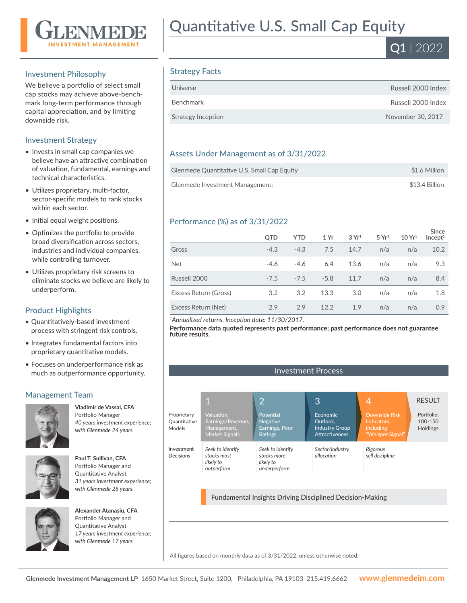

### Investment Philosophy

We believe a portfolio of select small cap stocks may achieve above-benchmark long-term performance through capital appreciation, and by limiting downside risk.

### Investment Strategy

- Invests in small cap companies we believe have an attractive combination of valuation, fundamental, earnings and technical characteristics.
- Utilizes proprietary, multi-factor, sector-specific models to rank stocks within each sector.
- Initial equal weight positions.
- Optimizes the portfolio to provide broad diversification across sectors, industries and individual companies, while controlling turnover.
- Utilizes proprietary risk screens to eliminate stocks we believe are likely to underperform.

# Product Highlights

- Quantitatively-based investment process with stringent risk controls.
- Integrates fundamental factors into proprietary quantitative models.
- Focuses on underperformance risk as much as outperformance opportunity.

# Management Team



**Vladimir de Vassal, CFA**  Portfolio Manager *40 years investment experience; with Glenmede 24 years.*



**Paul T. Sullivan, CFA**  Portfolio Manager and Quantitative Analyst *31 years investment experience; with Glenmede 28 years.*



**Alexander Atanasiu, CFA**  Portfolio Manager and Quantitative Analyst *17 years investment experience; with Glenmede 17 years.*

# Quantitative U.S. Small Cap Equity



# Strategy Facts

| Universe           | Russell 2000 Index |
|--------------------|--------------------|
| Benchmark          | Russell 2000 Index |
| Strategy Inception | November 30, 2017  |

## Assets Under Management as of 3/31/2022

| Glenmede Quantitative U.S. Small Cap Equity | \$1.6 Million  |
|---------------------------------------------|----------------|
| Glenmede Investment Management:             | \$13.4 Billion |

# Performance (%) as of 3/31/2022

|                       | <b>OTD</b> | <b>YTD</b> | 1 Yr   | 3 Yr <sup>1</sup> | 5 Yr <sup>1</sup> | 10 Yr <sup>1</sup> | <b>Since</b><br>Incept <sup>1</sup> |
|-----------------------|------------|------------|--------|-------------------|-------------------|--------------------|-------------------------------------|
| Gross                 | $-4.3$     | $-4.3$     | 7.5    | 14.7              | n/a               | n/a                | 10.2                                |
| <b>Net</b>            | $-4.6$     | $-4.6$     | 6.4    | 13.6              | n/a               | n/a                | 9.3                                 |
| Russell 2000          | $-7.5$     | $-7.5$     | $-5.8$ | 11.7              | n/a               | n/a                | 8.4                                 |
| Excess Return (Gross) | 3.2        | 3.2        | 13.3   | 3.0               | n/a               | n/a                | 1.8                                 |
| Excess Return (Net)   | 2.9        | 2.9        | 12.2   | 1.9               | n/a               | n/a                | 0.9                                 |

*<sup>1</sup>Annualized returns. Inception date: 11/30/2017.*

**Performance data quoted represents past performance; past performance does not guarantee future results.**

Investment Process

#### 1 2 3 4 Earnings/Revenue, Management, Market Signals *Seek to identify stocks most likely to outperform* Proprietary Quantitative Models Investment Decisions Negative Earnings, Poor Ratings *Seek to identify stocks more likely to underperform* Economic Outlook, Industry Group Attractiveness *Sector/industry allocation* Indicators, including "Whisper Signal" *Rigorous sell discipline* **RESULT** Portfolio: 100-150 Holdings

Fundamental Insights Driving Disciplined Decision-Making

All figures based on monthly data as of 3/31/2022, unless otherwise noted.